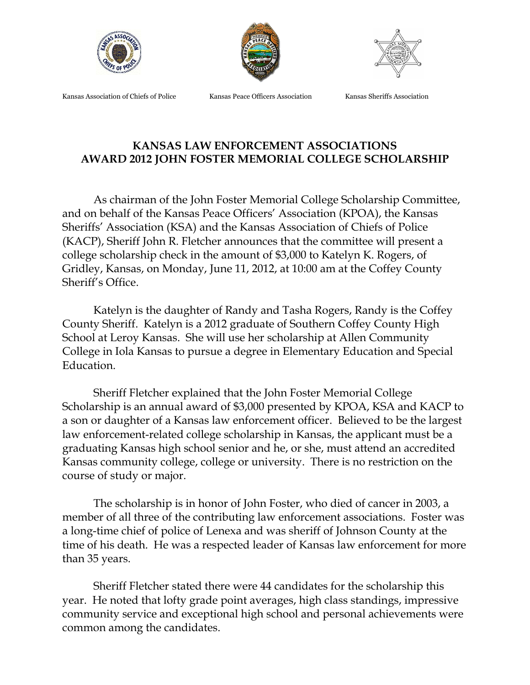





Kansas Association of Chiefs of Police Kansas Peace Officers Association Kansas Sheriffs Association

## **KANSAS LAW ENFORCEMENT ASSOCIATIONS AWARD 2012 JOHN FOSTER MEMORIAL COLLEGE SCHOLARSHIP**

As chairman of the John Foster Memorial College Scholarship Committee, and on behalf of the Kansas Peace Officers' Association (KPOA), the Kansas Sheriffs' Association (KSA) and the Kansas Association of Chiefs of Police (KACP), Sheriff John R. Fletcher announces that the committee will present a college scholarship check in the amount of \$3,000 to Katelyn K. Rogers, of Gridley, Kansas, on Monday, June 11, 2012, at 10:00 am at the Coffey County Sheriff's Office.

Katelyn is the daughter of Randy and Tasha Rogers, Randy is the Coffey County Sheriff. Katelyn is a 2012 graduate of Southern Coffey County High School at Leroy Kansas. She will use her scholarship at Allen Community College in Iola Kansas to pursue a degree in Elementary Education and Special Education.

Sheriff Fletcher explained that the John Foster Memorial College Scholarship is an annual award of \$3,000 presented by KPOA, KSA and KACP to a son or daughter of a Kansas law enforcement officer. Believed to be the largest law enforcement-related college scholarship in Kansas, the applicant must be a graduating Kansas high school senior and he, or she, must attend an accredited Kansas community college, college or university. There is no restriction on the course of study or major.

The scholarship is in honor of John Foster, who died of cancer in 2003, a member of all three of the contributing law enforcement associations. Foster was a long-time chief of police of Lenexa and was sheriff of Johnson County at the time of his death. He was a respected leader of Kansas law enforcement for more than 35 years.

Sheriff Fletcher stated there were 44 candidates for the scholarship this year. He noted that lofty grade point averages, high class standings, impressive community service and exceptional high school and personal achievements were common among the candidates.